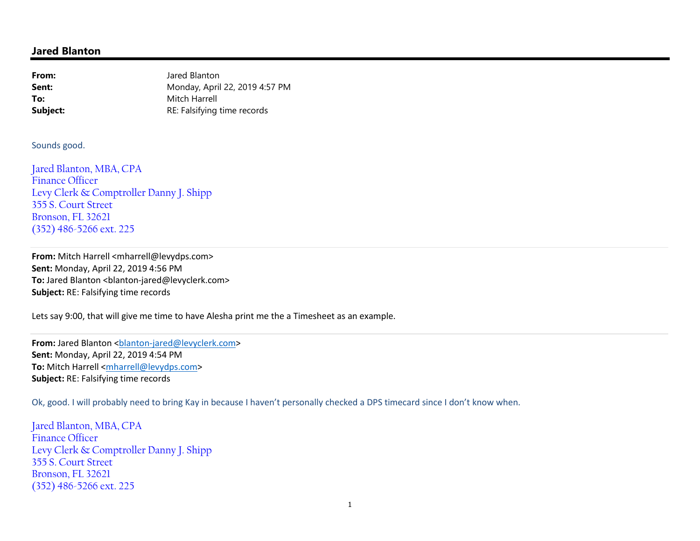## **Jared Blanton**

| From:    | Jared Blanton                  |
|----------|--------------------------------|
| Sent:    | Monday, April 22, 2019 4:57 PM |
| To:      | Mitch Harrell                  |
| Subject: | RE: Falsifying time records    |

Sounds good.

Jared Blanton, MBA, CPA Finance Officer Levy Clerk & Comptroller Danny J. Shipp 355 S. Court Street Bronson, FL 32621 (352) 486-5266 ext. 225

From: Mitch Harrell <mharrell@levydps.com> **Sent:** Monday, April 22, 2019 4:56 PM To: Jared Blanton <blanton-jared@levyclerk.com> **Subject:** RE: Falsifying time records

Lets say 9:00, that will give me time to have Alesha print me the a Timesheet as an example.

**From:** Jared Blanton <br/>blanton-jared@levyclerk.com> **Sent:** Monday, April 22, 2019 4:54 PM **To:** Mitch Harrell <mharrell@levydps.com> **Subject:** RE: Falsifying time records

Ok, good. I will probably need to bring Kay in because I haven't personally checked a DPS timecard since I don't know when.

Jared Blanton, MBA, CPA Finance Officer Levy Clerk & Comptroller Danny J. Shipp 355 S. Court Street Bronson, FL 32621 (352) 486-5266 ext. 225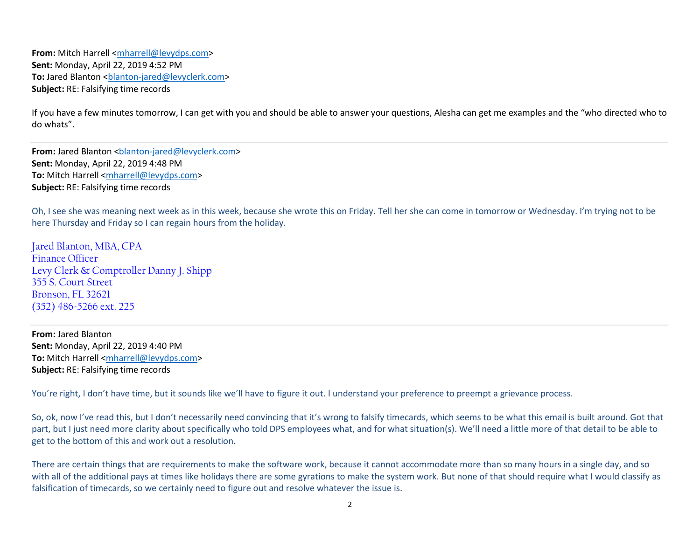**From:** Mitch Harrell <mharrell@levydps.com> **Sent:** Monday, April 22, 2019 4:52 PM To: Jared Blanton <br />
clanton-jared@levyclerk.com> **Subject:** RE: Falsifying time records

If you have a few minutes tomorrow, I can get with you and should be able to answer your questions, Alesha can get me examples and the "who directed who to do whats".

**From:** Jared Blanton <br/>blanton-jared@levyclerk.com> **Sent:** Monday, April 22, 2019 4:48 PM **To:** Mitch Harrell <mharrell@levydps.com> **Subject:** RE: Falsifying time records

Oh, I see she was meaning next week as in this week, because she wrote this on Friday. Tell her she can come in tomorrow or Wednesday. I'm trying not to be here Thursday and Friday so I can regain hours from the holiday.

Jared Blanton, MBA, CPA Finance Officer Levy Clerk & Comptroller Danny J. Shipp 355 S. Court Street Bronson, FL 32621 (352) 486-5266 ext. 225

**From:** Jared Blanton **Sent:** Monday, April 22, 2019 4:40 PM **To:** Mitch Harrell <mharrell@levydps.com> **Subject:** RE: Falsifying time records

You're right, I don't have time, but it sounds like we'll have to figure it out. I understand your preference to preempt a grievance process.

So, ok, now I've read this, but I don't necessarily need convincing that it's wrong to falsify timecards, which seems to be what this email is built around. Got that part, but I just need more clarity about specifically who told DPS employees what, and for what situation(s). We'll need a little more of that detail to be able to get to the bottom of this and work out a resolution.

There are certain things that are requirements to make the software work, because it cannot accommodate more than so many hours in a single day, and so with all of the additional pays at times like holidays there are some gyrations to make the system work. But none of that should require what I would classify as falsification of timecards, so we certainly need to figure out and resolve whatever the issue is.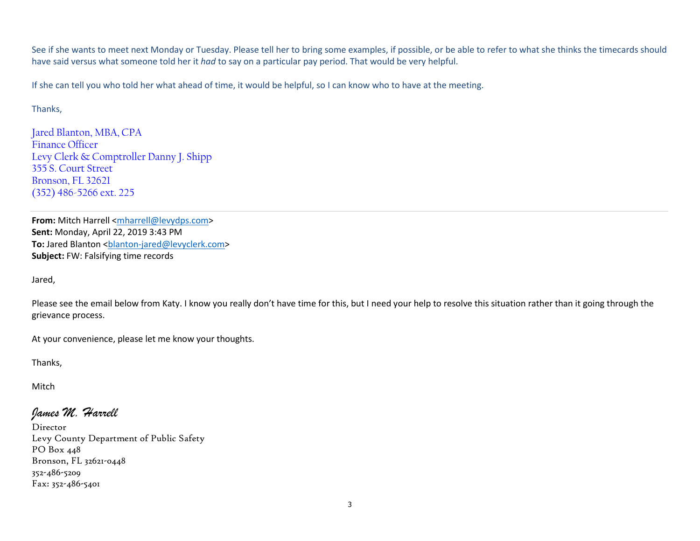See if she wants to meet next Monday or Tuesday. Please tell her to bring some examples, if possible, or be able to refer to what she thinks the timecards should have said versus what someone told her it *had* to say on a particular pay period. That would be very helpful.

If she can tell you who told her what ahead of time, it would be helpful, so I can know who to have at the meeting.

## Thanks,

Jared Blanton, MBA, CPA Finance Officer Levy Clerk & Comptroller Danny J. Shipp 355 S. Court Street Bronson, FL 32621 (352) 486-5266 ext. 225

**From:** Mitch Harrell <mharrell@levydps.com> **Sent:** Monday, April 22, 2019 3:43 PM **To:** Jared Blanton <br />blanton-jared@levyclerk.com> **Subject:** FW: Falsifying time records

Jared,

Please see the email below from Katy. I know you really don't have time for this, but I need your help to resolve this situation rather than it going through the grievance process.

At your convenience, please let me know your thoughts.

Thanks,

Mitch

## *James M. Harrell*

Director Levy County Department of Public Safety PO Box 448 Bronson, FL 32621-0448 352-486-5209 Fax: 352-486-5401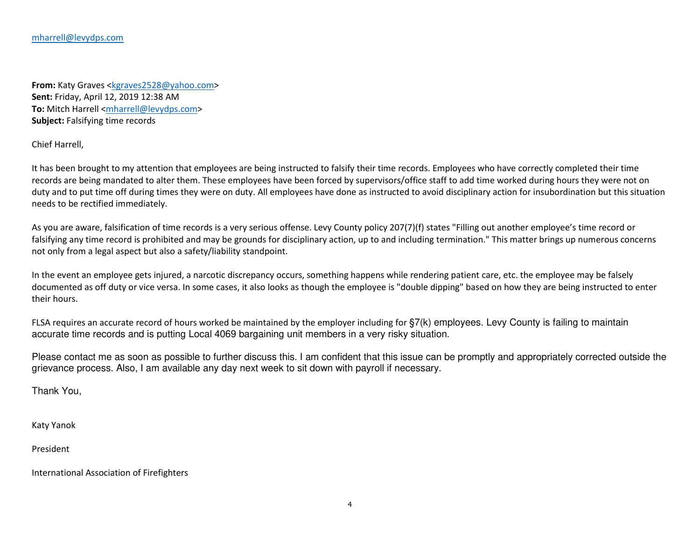**From:** Katy Graves <kgraves2528@yahoo.com> **Sent:** Friday, April 12, 2019 12:38 AM **To:** Mitch Harrell <mharrell@levydps.com> **Subject:** Falsifying time records

Chief Harrell,

It has been brought to my attention that employees are being instructed to falsify their time records. Employees who have correctly completed their time records are being mandated to alter them. These employees have been forced by supervisors/office staff to add time worked during hours they were not on duty and to put time off during times they were on duty. All employees have done as instructed to avoid disciplinary action for insubordination but this situation needs to be rectified immediately.

As you are aware, falsification of time records is a very serious offense. Levy County policy 207(7)(f) states "Filling out another employee's time record or falsifying any time record is prohibited and may be grounds for disciplinary action, up to and including termination." This matter brings up numerous concerns not only from a legal aspect but also a safety/liability standpoint.

In the event an employee gets injured, a narcotic discrepancy occurs, something happens while rendering patient care, etc. the employee may be falsely documented as off duty or vice versa. In some cases, it also looks as though the employee is "double dipping" based on how they are being instructed to enter their hours.

FLSA requires an accurate record of hours worked be maintained by the employer including for §7(k) employees. Levy County is failing to maintainaccurate time records and is putting Local 4069 bargaining unit members in a very risky situation.

Please contact me as soon as possible to further discuss this. I am confident that this issue can be promptly and appropriately corrected outside the grievance process. Also, I am available any day next week to sit down with payroll if necessary.

Thank You,

Katy Yanok

President

International Association of Firefighters